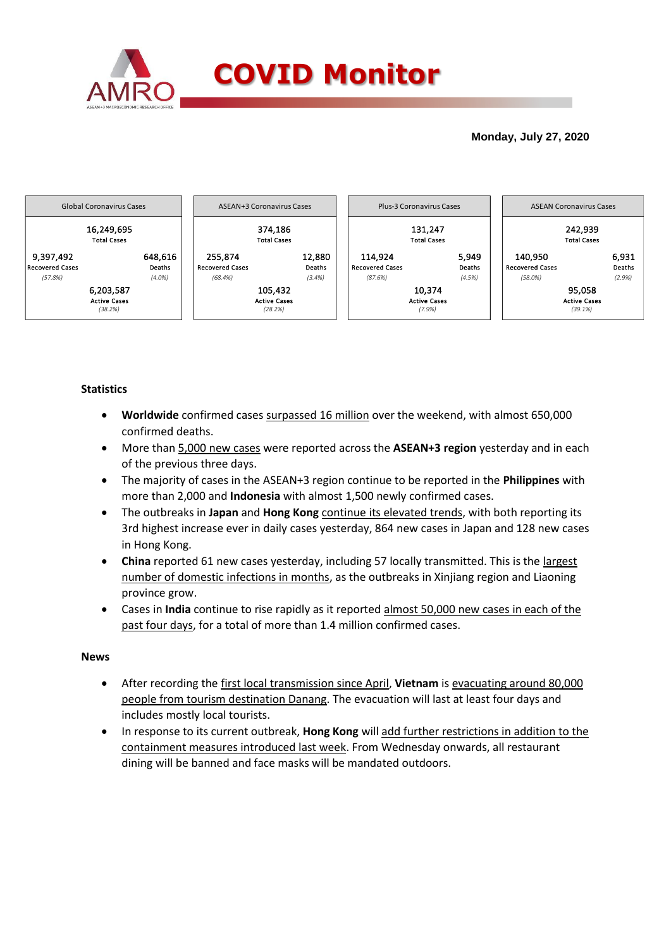

## **Monday, July 27, 2020**



## **Statistics**

- **Worldwide** confirmed cases surpassed 16 million over the weekend, with almost 650,000 confirmed deaths.
- More than 5,000 new cases were reported across the **ASEAN+3 region** yesterday and in each of the previous three days.
- The majority of cases in the ASEAN+3 region continue to be reported in the **Philippines** with more than 2,000 and **Indonesia** with almost 1,500 newly confirmed cases.
- The outbreaks in **Japan** and **Hong Kong** continue its elevated trends, with both reporting its 3rd highest increase ever in daily cases yesterday, 864 new cases in Japan and 128 new cases in Hong Kong.
- **China** reported 61 new cases yesterday, including 57 locally transmitted. This is the largest number of domestic infections in months, as the outbreaks in Xinjiang region and Liaoning province grow.
- Cases in **India** continue to rise rapidly as it reported almost 50,000 new cases in each of the past four days, for a total of more than 1.4 million confirmed cases.

### **News**

- After recording the first local transmission since April, **Vietnam** is evacuating around 80,000 people from tourism destination Danang. The evacuation will last at least four days and includes mostly local tourists.
- In response to its current outbreak, **Hong Kong** will add further restrictions in addition to the containment measures introduced last week. From Wednesday onwards, all restaurant dining will be banned and face masks will be mandated outdoors.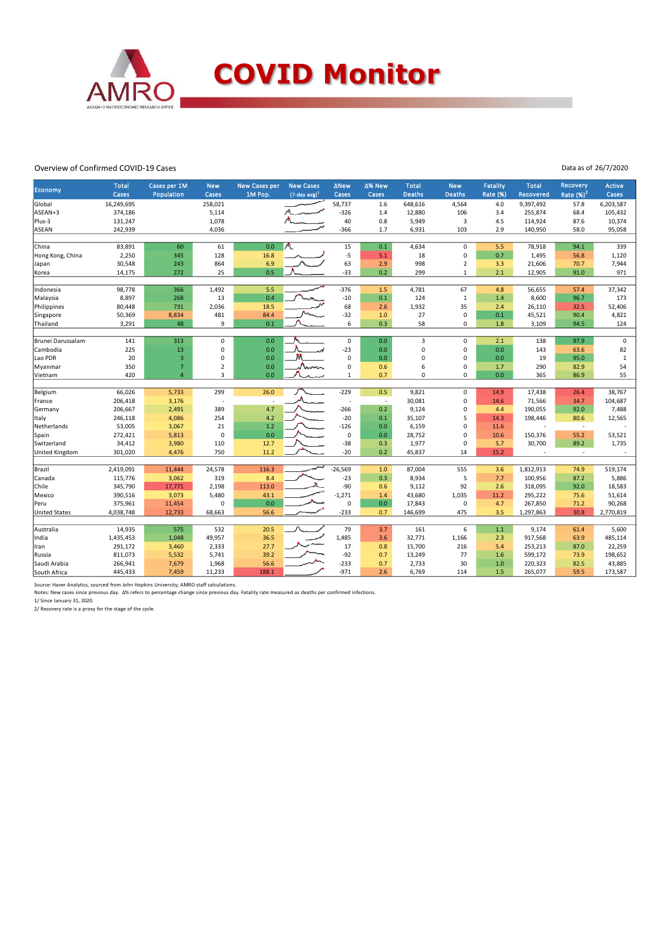

#### Overview of Confirmed COVID-19 Cases

Data as of 26/7/2020

| <b>Economy</b>       | <b>Total</b><br>Cases | Cases per 1M<br>Population | <b>New</b><br>Cases | <b>New Cases per</b><br>1M Pop. | <b>New Cases</b><br>$(7$ -day avg) <sup>1</sup> | <b>ANew</b><br>Cases | ∆% New<br>Cases | <b>Total</b><br><b>Deaths</b> | <b>New</b><br><b>Deaths</b> | <b>Fatality</b><br><b>Rate (%)</b> | <b>Total</b><br>Recovered | Recovery<br>Rate $(%)2$  | <b>Active</b><br>Cases |
|----------------------|-----------------------|----------------------------|---------------------|---------------------------------|-------------------------------------------------|----------------------|-----------------|-------------------------------|-----------------------------|------------------------------------|---------------------------|--------------------------|------------------------|
| Global               | 16,249,695            |                            | 258,021             |                                 |                                                 | 58,737               | 1.6             | 648,616                       | 4,564                       | 4.0                                | 9,397,492                 | 57.8                     | 6,203,587              |
| ASEAN+3              | 374,186               |                            | 5,114               |                                 |                                                 | $-326$               | 1.4             | 12,880                        | 106                         | 3.4                                | 255,874                   | 68.4                     | 105,432                |
| Plus-3               | 131,247               |                            | 1,078               |                                 |                                                 | 40                   | 0.8             | 5,949                         | 3                           | 4.5                                | 114,924                   | 87.6                     | 10,374                 |
| <b>ASEAN</b>         | 242,939               |                            | 4,036               |                                 |                                                 | $-366$               | 1.7             | 6,931                         | 103                         | 2.9                                | 140,950                   | 58.0                     | 95,058                 |
| China                | 83,891                | 60                         | 61                  | 0.0                             |                                                 | 15                   | 0.1             | 4,634                         | $\mathbf 0$                 | 5.5                                | 78,918                    | 94.1                     | 339                    |
| Hong Kong, China     | 2,250                 | 345                        | 128                 | 16.8                            |                                                 | $-5$                 | 5.1             | 18                            | $\mathsf 0$                 | 0.7                                | 1,495                     | 56.8                     | 1,120                  |
| Japan                | 30,548                | 243                        | 864                 | 6.9                             |                                                 | 63                   | 2.9             | 998                           | $\overline{2}$              | 3.3                                | 21,606                    | 70.7                     | 7,944                  |
| Korea                | 14,175                | 272                        | 25                  | 0.5                             |                                                 | $-33$                | 0.2             | 299                           | $\overline{1}$              | 2.1                                | 12,905                    | 91.0                     | 971                    |
|                      |                       |                            |                     |                                 |                                                 |                      |                 |                               |                             |                                    |                           |                          |                        |
| Indonesia            | 98,778                | 366                        | 1,492               | 5.5                             |                                                 | $-376$               | 1.5             | 4,781                         | 67                          | 4.8                                | 56,655                    | 57.4                     | 37,342                 |
| Malaysia             | 8,897                 | 268                        | 13                  | 0.4                             |                                                 | $-10$                | 0.1             | 124                           | $\overline{1}$              | 1.4                                | 8,600                     | 96.7                     | 173                    |
| Philippines          | 80,448                | 731                        | 2,036               | 18.5                            |                                                 | 68                   | 2.6             | 1,932                         | 35                          | 2.4                                | 26,110                    | 32.5                     | 52,406                 |
| Singapore            | 50,369                | 8,834                      | 481                 | 84.4                            |                                                 | $-32$                | 1.0             | 27                            | $\mathbf 0$                 | 0.1                                | 45,521                    | 90.4                     | 4,821                  |
| Thailand             | 3,291                 | 48                         | 9                   | 0.1                             |                                                 | 6                    | 0.3             | 58                            | $\mathbf 0$                 | 1.8                                | 3,109                     | 94.5                     | 124                    |
| Brunei Darussalam    | 141                   | 313                        | $\mathbf 0$         | 0.0                             |                                                 | 0                    | 0.0             | 3                             | $\mathbf 0$                 | 2.1                                | 138                       | 97.9                     | $\mathsf 0$            |
| Cambodia             | 225                   | 13                         | $\pmb{0}$           | 0.0                             |                                                 | $-23$                | 0.0             | $\mathbf 0$                   | $\mathbf 0$                 | 0.0                                | 143                       | 63.6                     | 82                     |
| Lao PDR              | 20                    | $\overline{\mathbf{3}}$    | $\mathbf 0$         | 0.0                             |                                                 | $\mathbf 0$          | 0.0             | 0                             | $\mathbf 0$                 | 0.0                                | 19                        | 95.0                     | $\mathbf{1}$           |
| Myanmar              | 350                   | 7                          | $\overline{2}$      | 0.0                             |                                                 | 0                    | 0.6             | 6                             | 0                           | 1.7                                | 290                       | 82.9                     | 54                     |
| Vietnam              | 420                   | $\overline{a}$             | $\overline{3}$      | 0.0                             | Numa                                            | $\mathbf{1}$         | 0.7             | $\mathbf 0$                   | 0                           | 0.0                                | 365                       | 86.9                     | 55                     |
|                      |                       |                            |                     |                                 |                                                 |                      |                 |                               |                             |                                    |                           |                          |                        |
| Belgium              | 66,026                | 5,733                      | 299                 | 26.0                            |                                                 | $-229$               | 0.5             | 9,821                         | $\mathbf 0$                 | 14.9                               | 17,438                    | 26.4                     | 38,767                 |
| France               | 206,418               | 3,176                      |                     |                                 |                                                 | i,                   | i,              | 30,081                        | 0                           | 14.6                               | 71,566                    | 34.7                     | 104,687                |
| Germany              | 206,667               | 2,491                      | 389                 | 4.7                             |                                                 | $-266$               | 0.2             | 9,124                         | 0                           | 4.4                                | 190,055                   | 92.0                     | 7,488                  |
| Italy                | 246,118               | 4,086                      | 254                 | 4.2                             |                                                 | $-20$                | 0.1             | 35,107                        | 5                           | 14.3                               | 198,446                   | 80.6                     | 12,565                 |
| Netherlands          | 53,005                | 3,067                      | 21                  | 1.2                             |                                                 | $-126$               | 0.0             | 6,159                         | $\mathbf 0$                 | 11.6                               |                           | $\overline{\phantom{a}}$ |                        |
| Spain                | 272,421               | 5,813                      | 0                   | 0.0                             |                                                 | 0                    | 0.0             | 28,752                        | 0                           | 10.6                               | 150,376                   | 55.2                     | 53,521                 |
| Switzerland          | 34,412                | 3,980                      | 110                 | 12.7                            |                                                 | $-38$                | 0.3             | 1,977                         | 0                           | 5.7                                | 30,700                    | 89.2                     | 1,735                  |
| United Kingdom       | 301,020               | 4,476                      | 750                 | 11.2                            |                                                 | $-20$                | 0.2             | 45,837                        | 14                          | 15.2                               |                           | $\sim$                   |                        |
|                      |                       |                            |                     |                                 |                                                 |                      |                 |                               |                             |                                    |                           |                          |                        |
| Brazil               | 2,419,091             | 11,444                     | 24,578              | 116.3                           |                                                 | $-26,569$            | 1.0             | 87,004                        | 555                         | 3.6                                | 1,812,913                 | 74.9                     | 519,174                |
| Canada               | 115,776               | 3,062                      | 319                 | 8.4                             |                                                 | $-23$                | 0.3             | 8,934                         | 5                           | 7.7                                | 100,956                   | 87.2                     | 5,886                  |
| Chile                | 345,790               | 17,771                     | 2,198               | 113.0                           |                                                 | $-90$                | 0.6             | 9,112                         | 92                          | 2.6                                | 318,095                   | 92.0                     | 18,583                 |
| Mexico               | 390,516               | 3,073                      | 5,480               | 43.1                            |                                                 | $-1,271$             | 1.4             | 43,680                        | 1,035                       | 11.2                               | 295,222                   | 75.6                     | 51,614                 |
| Peru                 | 375,961               | 11,454                     | 0                   | 0.0                             |                                                 | 0                    | 0.0             | 17,843                        | 0                           | 4.7                                | 267,850                   | 71.2                     | 90,268                 |
| <b>United States</b> | 4,038,748             | 12,733                     | 68,663              | 56.6                            |                                                 | $-233$               | 0.7             | 146,699                       | 475                         | 3.5                                | 1,297,863                 | 30.8                     | 2,770,819              |
| Australia            | 14,935                | 575                        | 532                 | 20.5                            |                                                 | 79                   | 3.7             | 161                           | 6                           | 1.1                                | 9,174                     | 61.4                     | 5,600                  |
| India                | 1,435,453             | 1,048                      | 49,957              | 36.5                            |                                                 | 1,485                | 3.6             | 32,771                        | 1,166                       | 2.3                                | 917,568                   | 63.9                     | 485,114                |
| Iran                 | 291,172               | 3,460                      | 2,333               | 27.7                            |                                                 | 17                   | 0.8             | 15,700                        | 216                         | 5.4                                | 253,213                   | 87.0                     | 22,259                 |
| Russia               | 811,073               | 5,532                      | 5,741               | 39.2                            |                                                 | $-92$                | 0.7             | 13,249                        | 77                          | 1.6                                | 599,172                   | 73.9                     | 198,652                |
| Saudi Arabia         | 266,941               | 7,679                      | 1,968               | 56.6                            |                                                 | $-233$               | 0.7             | 2,733                         | 30                          | 1.0                                | 220,323                   | 82.5                     | 43,885                 |
| South Africa         | 445,433               | 7,459                      | 11,233              | 188.1                           |                                                 | $-971$               | 2.6             | 6,769                         | 114                         | 1.5                                | 265,077                   | 59.5                     | 173,587                |
|                      |                       |                            |                     |                                 |                                                 |                      |                 |                               |                             |                                    |                           |                          |                        |

Source: Haver Analytics, sourced from John Hopkins University; AMRO staff calculations.

Notes: New cases since previous day. ∆% refers to percentage change since previous day. Fatality rate measured as deaths per confirmed infections.<br>1/ Since January 31, 2020.<br>2/ Recovery rate is a proxy for the stage of the